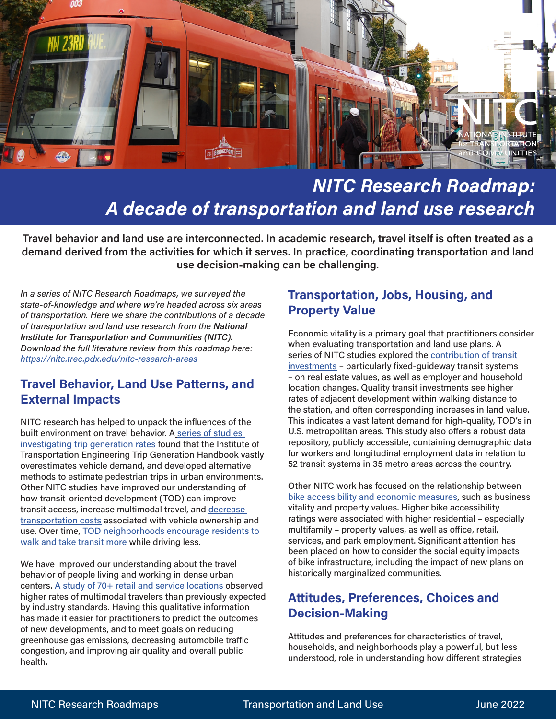

# *NITC Research Roadmap: A decade of transportation and land use research*

**Travel behavior and land use are interconnected. In academic research, travel itself is often treated as a demand derived from the activities for which it serves. In practice, coordinating transportation and land use decision-making can be challenging.** 

*In a series of NITC Research Roadmaps, we surveyed the state-of-knowledge and where we're headed across six areas of transportation. Here we share the contributions of a decade of transportation and land use research from the National Institute for Transportation and Communities (NITC). Download the full literature review from this roadmap here: <https://nitc.trec.pdx.edu/nitc-research-areas>*

### **Travel Behavior, Land Use Patterns, and External Impacts**

NITC research has helped to unpack the influences of the built environment on travel behavior. A series of studies [investigating trip generation rates](https://nitc.trec.pdx.edu/news/context-specific-modeling-supports-strategic-multimodal-investments) found that the Institute of Transportation Engineering Trip Generation Handbook vastly overestimates vehicle demand, and developed alternative methods to estimate pedestrian trips in urban environments. Other NITC studies have improved our understanding of how transit-oriented development (TOD) can improve transit access, increase multimodal travel, and decrease [transportation costs](https://nitc.trec.pdx.edu/research/project/859) associated with vehicle ownership and use. Over time, [TOD neighborhoods encourage residents to](https://nitc.trec.pdx.edu/research/project/1240)  [walk and take transit more](https://nitc.trec.pdx.edu/research/project/1240) while driving less.

We have improved our understanding about the travel behavior of people living and working in dense urban centers. [A study of 70+ retail and service locations](https://nitc.trec.pdx.edu/research/project/411) observed higher rates of multimodal travelers than previously expected by industry standards. Having this qualitative information has made it easier for practitioners to predict the outcomes of new developments, and to meet goals on reducing greenhouse gas emissions, decreasing automobile traffic congestion, and improving air quality and overall public health.

## **Transportation, Jobs, Housing, and Property Value**

Economic vitality is a primary goal that practitioners consider when evaluating transportation and land use plans. A series of NITC studies explored the contribution of transit [investments](https://nitc.trec.pdx.edu/research/project/1253) – particularly fixed-guideway transit systems – on real estate values, as well as employer and household location changes. Quality transit investments see higher rates of adjacent development within walking distance to the station, and often corresponding increases in land value. This indicates a vast latent demand for high-quality, TOD's in U.S. metropolitan areas. This study also offers a robust data repository, publicly accessible, containing demographic data for workers and longitudinal employment data in relation to 52 transit systems in 35 metro areas across the country.

Other NITC work has focused on the relationship between [bike accessibility and economic measures,](https://nitc.trec.pdx.edu/research/project/858) such as business vitality and property values. Higher bike accessibility ratings were associated with higher residential – especially multifamily – property values, as well as office, retail, services, and park employment. Significant attention has been placed on how to consider the social equity impacts of bike infrastructure, including the impact of new plans on historically marginalized communities.

# **Attitudes, Preferences, Choices and Decision-Making**

Attitudes and preferences for characteristics of travel, households, and neighborhoods play a powerful, but less understood, role in understanding how different strategies